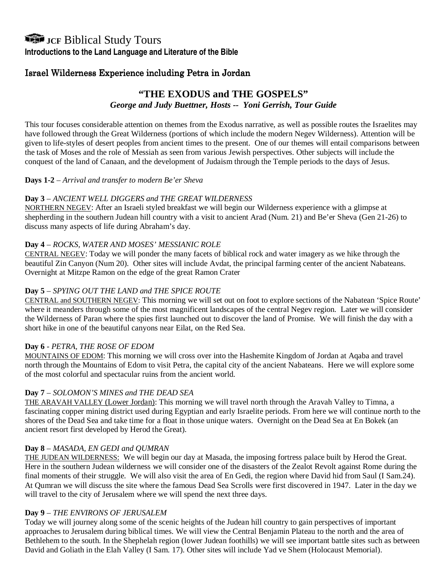# **JCF** Biblical Study Tours

**Introductions to the Land Language and Literature of the Bible** 

# Israel Wilderness Experience including Petra in Jordan

# **"THE EXODUS and THE GOSPELS"**  *George and Judy Buettner, Hosts -- Yoni Gerrish, Tour Guide*

This tour focuses considerable attention on themes from the Exodus narrative, as well as possible routes the Israelites may have followed through the Great Wilderness (portions of which include the modern Negev Wilderness). Attention will be given to life-styles of desert peoples from ancient times to the present. One of our themes will entail comparisons between the task of Moses and the role of Messiah as seen from various Jewish perspectives. Other subjects will include the conquest of the land of Canaan, and the development of Judaism through the Temple periods to the days of Jesus.

## **Days 1-2** – *Arrival and transfer to modern Be'er Sheva*

## **Day 3** – *ANCIENT WELL DIGGERS and THE GREAT WILDERNESS*

NORTHERN NEGEV: After an Israeli styled breakfast we will begin our Wilderness experience with a glimpse at shepherding in the southern Judean hill country with a visit to ancient Arad (Num. 21) and Be'er Sheva (Gen 21-26) to discuss many aspects of life during Abraham's day.

## **Day 4** – *ROCKS, WATER AND MOSES' MESSIANIC ROLE*

CENTRAL NEGEV: Today we will ponder the many facets of biblical rock and water imagery as we hike through the beautiful Zin Canyon (Num 20). Other sites will include Avdat, the principal farming center of the ancient Nabateans. Overnight at Mitzpe Ramon on the edge of the great Ramon Crater

#### **Day 5** – *SPYING OUT THE LAND and THE SPICE ROUTE*

CENTRAL and SOUTHERN NEGEV: This morning we will set out on foot to explore sections of the Nabatean 'Spice Route' where it meanders through some of the most magnificent landscapes of the central Negev region. Later we will consider the Wilderness of Paran where the spies first launched out to discover the land of Promise. We will finish the day with a short hike in one of the beautiful canyons near Eilat, on the Red Sea.

#### **Day 6** - *PETRA, THE ROSE OF EDOM*

MOUNTAINS OF EDOM: This morning we will cross over into the Hashemite Kingdom of Jordan at Aqaba and travel north through the Mountains of Edom to visit Petra, the capital city of the ancient Nabateans. Here we will explore some of the most colorful and spectacular ruins from the ancient world.

#### **Day 7** – *SOLOMON'S MINES and THE DEAD SEA*

THE ARAVAH VALLEY (Lower Jordan): This morning we will travel north through the Aravah Valley to Timna, a fascinating copper mining district used during Egyptian and early Israelite periods. From here we will continue north to the shores of the Dead Sea and take time for a float in those unique waters. Overnight on the Dead Sea at En Bokek (an ancient resort first developed by Herod the Great).

#### **Day 8** – *MASADA, EN GEDI and QUMRAN*

THE JUDEAN WILDERNESS: We will begin our day at Masada, the imposing fortress palace built by Herod the Great. Here in the southern Judean wilderness we will consider one of the disasters of the Zealot Revolt against Rome during the final moments of their struggle. We will also visit the area of En Gedi, the region where David hid from Saul (I Sam.24). At Qumran we will discuss the site where the famous Dead Sea Scrolls were first discovered in 1947. Later in the day we will travel to the city of Jerusalem where we will spend the next three days.

#### **Day 9** – *THE ENVIRONS OF JERUSALEM*

Today we will journey along some of the scenic heights of the Judean hill country to gain perspectives of important approaches to Jerusalem during biblical times. We will view the Central Benjamin Plateau to the north and the area of Bethlehem to the south. In the Shephelah region (lower Judean foothills) we will see important battle sites such as between David and Goliath in the Elah Valley (I Sam. 17). Other sites will include Yad ve Shem (Holocaust Memorial).